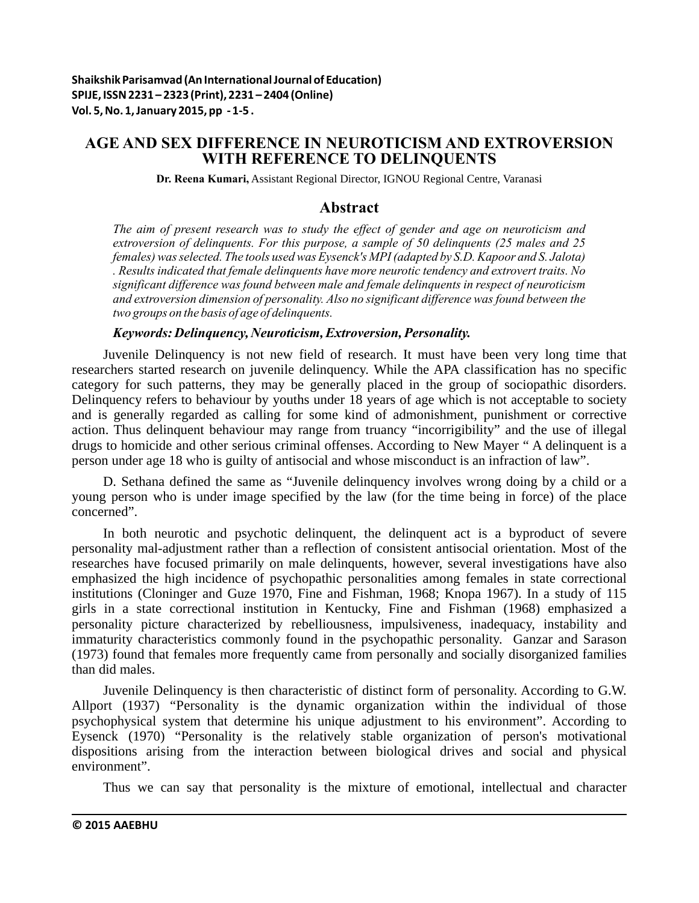# **AGE AND SEX DIFFERENCE IN NEUROTICISM AND EXTROVERSION WITH REFERENCE TO DELINQUENTS**

**Dr. Reena Kumari,** Assistant Regional Director, IGNOU Regional Centre, Varanasi

## **Abstract**

*The aim of present research was to study the effect of gender and age on neuroticism and extroversion of delinquents. For this purpose, a sample of 50 delinquents (25 males and 25 females) was selected. The tools used was Eysenck's MPI (adapted by S.D. Kapoor and S. Jalota) . Results indicated that female delinquents have more neurotic tendency and extrovert traits. No significant difference was found between male and female delinquents in respect of neuroticism and extroversion dimension of personality. Also no significant difference was found between the two groups on the basis of age of delinquents.*

### *Keywords: Delinquency, Neuroticism, Extroversion, Personality.*

Juvenile Delinquency is not new field of research. It must have been very long time that researchers started research on juvenile delinquency. While the APA classification has no specific category for such patterns, they may be generally placed in the group of sociopathic disorders. Delinquency refers to behaviour by youths under 18 years of age which is not acceptable to society and is generally regarded as calling for some kind of admonishment, punishment or corrective action. Thus delinquent behaviour may range from truancy "incorrigibility" and the use of illegal drugs to homicide and other serious criminal offenses. According to New Mayer " A delinquent is a person under age 18 who is guilty of antisocial and whose misconduct is an infraction of law".

D. Sethana defined the same as "Juvenile delinquency involves wrong doing by a child or a young person who is under image specified by the law (for the time being in force) of the place concerned".

In both neurotic and psychotic delinquent, the delinquent act is a byproduct of severe personality mal-adjustment rather than a reflection of consistent antisocial orientation. Most of the researches have focused primarily on male delinquents, however, several investigations have also emphasized the high incidence of psychopathic personalities among females in state correctional institutions (Cloninger and Guze 1970, Fine and Fishman, 1968; Knopa 1967). In a study of 115 girls in a state correctional institution in Kentucky, Fine and Fishman (1968) emphasized a personality picture characterized by rebelliousness, impulsiveness, inadequacy, instability and immaturity characteristics commonly found in the psychopathic personality. Ganzar and Sarason (1973) found that females more frequently came from personally and socially disorganized families than did males.

Juvenile Delinquency is then characteristic of distinct form of personality. According to G.W. Allport (1937) "Personality is the dynamic organization within the individual of those psychophysical system that determine his unique adjustment to his environment". According to Eysenck (1970) "Personality is the relatively stable organization of person's motivational dispositions arising from the interaction between biological drives and social and physical environment".

Thus we can say that personality is the mixture of emotional, intellectual and character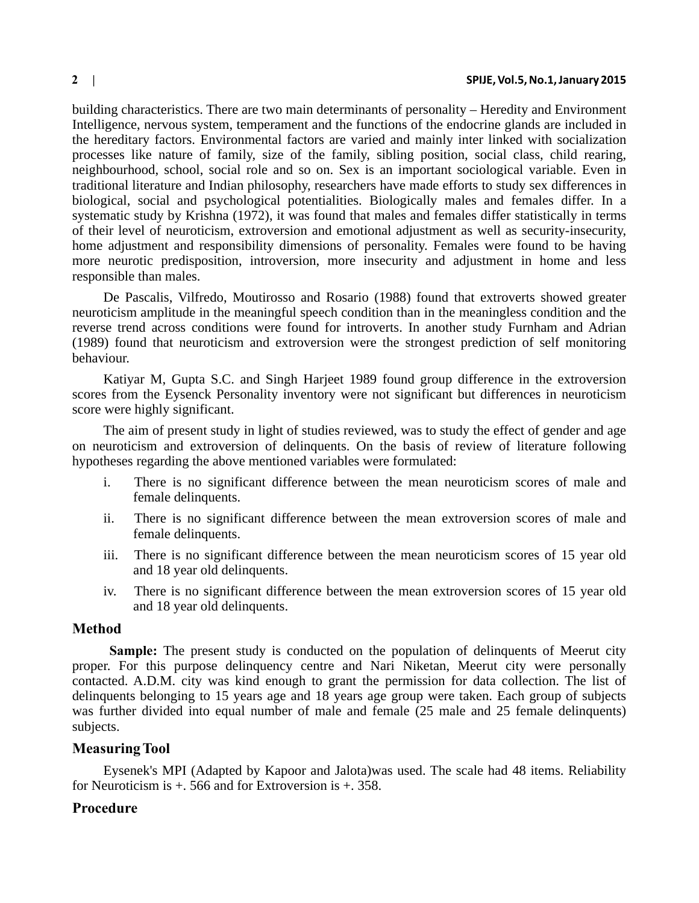building characteristics. There are two main determinants of personality – Heredity and Environment Intelligence, nervous system, temperament and the functions of the endocrine glands are included in the hereditary factors. Environmental factors are varied and mainly inter linked with socialization processes like nature of family, size of the family, sibling position, social class, child rearing, neighbourhood, school, social role and so on. Sex is an important sociological variable. Even in traditional literature and Indian philosophy, researchers have made efforts to study sex differences in biological, social and psychological potentialities. Biologically males and females differ. In a systematic study by Krishna (1972), it was found that males and females differ statistically in terms of their level of neuroticism, extroversion and emotional adjustment as well as security-insecurity, home adjustment and responsibility dimensions of personality. Females were found to be having more neurotic predisposition, introversion, more insecurity and adjustment in home and less responsible than males.

De Pascalis, Vilfredo, Moutirosso and Rosario (1988) found that extroverts showed greater neuroticism amplitude in the meaningful speech condition than in the meaningless condition and the reverse trend across conditions were found for introverts. In another study Furnham and Adrian (1989) found that neuroticism and extroversion were the strongest prediction of self monitoring behaviour.

Katiyar M, Gupta S.C. and Singh Harjeet 1989 found group difference in the extroversion scores from the Eysenck Personality inventory were not significant but differences in neuroticism score were highly significant.

The aim of present study in light of studies reviewed, was to study the effect of gender and age on neuroticism and extroversion of delinquents. On the basis of review of literature following hypotheses regarding the above mentioned variables were formulated:

- i. There is no significant difference between the mean neuroticism scores of male and female delinquents.
- ii. There is no significant difference between the mean extroversion scores of male and female delinquents.
- iii. There is no significant difference between the mean neuroticism scores of 15 year old and 18 year old delinquents.
- iv. There is no significant difference between the mean extroversion scores of 15 year old and 18 year old delinquents.

### **Method**

**Sample:** The present study is conducted on the population of delinquents of Meerut city proper. For this purpose delinquency centre and Nari Niketan, Meerut city were personally contacted. A.D.M. city was kind enough to grant the permission for data collection. The list of delinquents belonging to 15 years age and 18 years age group were taken. Each group of subjects was further divided into equal number of male and female (25 male and 25 female delinquents) subjects.

# **Measuring Tool**

Eysenek's MPI (Adapted by Kapoor and Jalota)was used. The scale had 48 items. Reliability for Neuroticism is  $+$ , 566 and for Extroversion is  $+$ , 358.

## **Procedure**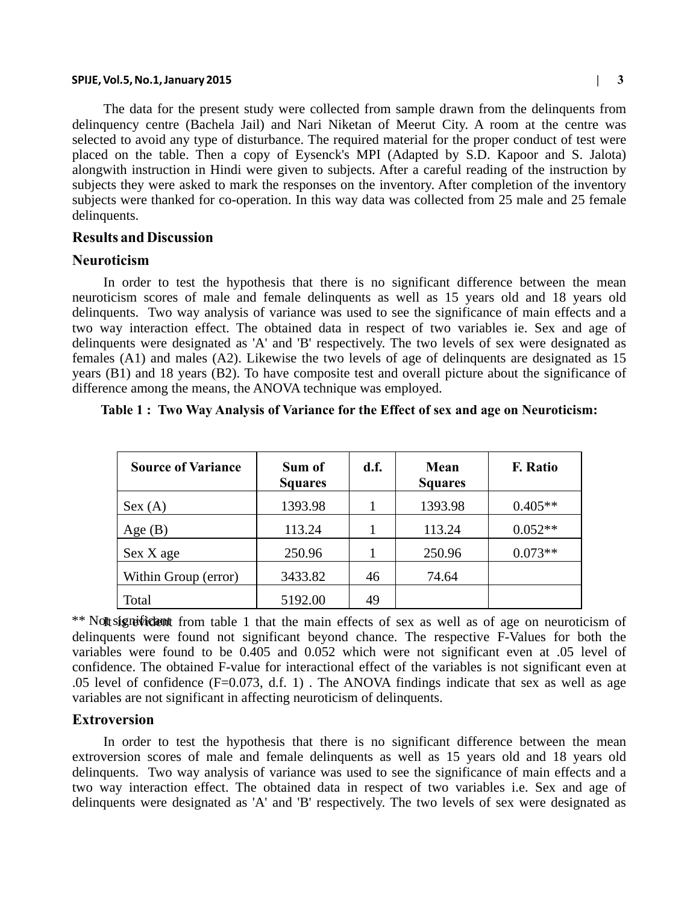#### **SPIJE, Vol.5, No.1, January 2015 | 3**

The data for the present study were collected from sample drawn from the delinquents from delinquency centre (Bachela Jail) and Nari Niketan of Meerut City. A room at the centre was selected to avoid any type of disturbance. The required material for the proper conduct of test were placed on the table. Then a copy of Eysenck's MPI (Adapted by S.D. Kapoor and S. Jalota) alongwith instruction in Hindi were given to subjects. After a careful reading of the instruction by subjects they were asked to mark the responses on the inventory. After completion of the inventory subjects were thanked for co-operation. In this way data was collected from 25 male and 25 female delinquents.

#### **Results and Discussion**

### **Neuroticism**

In order to test the hypothesis that there is no significant difference between the mean neuroticism scores of male and female delinquents as well as 15 years old and 18 years old delinquents. Two way analysis of variance was used to see the significance of main effects and a two way interaction effect. The obtained data in respect of two variables ie. Sex and age of delinquents were designated as 'A' and 'B' respectively. The two levels of sex were designated as females (A1) and males (A2). Likewise the two levels of age of delinquents are designated as 15 years (B1) and 18 years (B2). To have composite test and overall picture about the significance of difference among the means, the ANOVA technique was employed.

| <b>Source of Variance</b> | Sum of<br><b>Squares</b> | d.f. | Mean<br><b>Squares</b> | <b>F.</b> Ratio |  |
|---------------------------|--------------------------|------|------------------------|-----------------|--|
| Sex (A)                   | 1393.98                  |      | 1393.98                | $0.405**$       |  |
| Age $(B)$                 | 113.24                   |      | 113.24                 | $0.052**$       |  |
| Sex X age                 | 250.96                   |      | 250.96                 | $0.073**$       |  |
| Within Group (error)      | 3433.82                  | 46   | 74.64                  |                 |  |
| Total                     | 5192.00                  | 49   |                        |                 |  |

#### **Table 1 : Two Way Analysis of Variance for the Effect of sex and age on Neuroticism:**

\*\* Nott significant from table 1 that the main effects of sex as well as of age on neuroticism of delinquents were found not significant beyond chance. The respective F-Values for both the variables were found to be 0.405 and 0.052 which were not significant even at .05 level of confidence. The obtained F-value for interactional effect of the variables is not significant even at .05 level of confidence  $(F=0.073, d.f. 1)$ . The ANOVA findings indicate that sex as well as age variables are not significant in affecting neuroticism of delinquents.

### **Extroversion**

In order to test the hypothesis that there is no significant difference between the mean extroversion scores of male and female delinquents as well as 15 years old and 18 years old delinquents. Two way analysis of variance was used to see the significance of main effects and a two way interaction effect. The obtained data in respect of two variables i.e. Sex and age of delinquents were designated as 'A' and 'B' respectively. The two levels of sex were designated as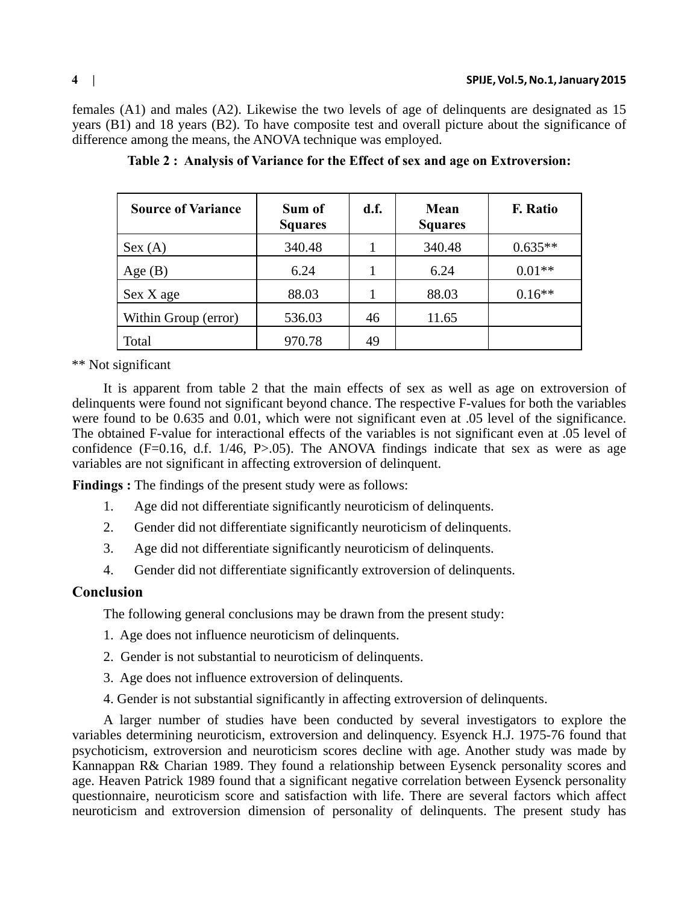females (A1) and males (A2). Likewise the two levels of age of delinquents are designated as 15 years (B1) and 18 years (B2). To have composite test and overall picture about the significance of difference among the means, the ANOVA technique was employed.

| <b>Source of Variance</b> | Sum of<br><b>Squares</b> | d.f. | Mean<br><b>Squares</b> | <b>F.</b> Ratio |
|---------------------------|--------------------------|------|------------------------|-----------------|
| Sex (A)                   | 340.48                   |      | 340.48                 | $0.635**$       |
| Age $(B)$                 | 6.24                     |      | 6.24                   | $0.01**$        |
| Sex X age                 | 88.03                    |      | 88.03                  | $0.16**$        |
| Within Group (error)      | 536.03                   | 46   | 11.65                  |                 |
| Total                     | 970.78                   | 49   |                        |                 |

**Table 2 : Analysis of Variance for the Effect of sex and age on Extroversion:**

\*\* Not significant

It is apparent from table 2 that the main effects of sex as well as age on extroversion of delinquents were found not significant beyond chance. The respective F-values for both the variables were found to be 0.635 and 0.01, which were not significant even at .05 level of the significance. The obtained F-value for interactional effects of the variables is not significant even at .05 level of confidence  $(F=0.16, d.f. 1/46, P>0.05)$ . The ANOVA findings indicate that sex as were as age variables are not significant in affecting extroversion of delinquent.

**Findings :** The findings of the present study were as follows:

- 1. Age did not differentiate significantly neuroticism of delinquents.
- 2. Gender did not differentiate significantly neuroticism of delinquents.
- 3. Age did not differentiate significantly neuroticism of delinquents.
- 4. Gender did not differentiate significantly extroversion of delinquents.

## **Conclusion**

The following general conclusions may be drawn from the present study:

- 1. Age does not influence neuroticism of delinquents.
- 2. Gender is not substantial to neuroticism of delinquents.
- 3. Age does not influence extroversion of delinquents.
- 4. Gender is not substantial significantly in affecting extroversion of delinquents.

A larger number of studies have been conducted by several investigators to explore the variables determining neuroticism, extroversion and delinquency. Esyenck H.J. 1975-76 found that psychoticism, extroversion and neuroticism scores decline with age. Another study was made by Kannappan R& Charian 1989. They found a relationship between Eysenck personality scores and age. Heaven Patrick 1989 found that a significant negative correlation between Eysenck personality questionnaire, neuroticism score and satisfaction with life. There are several factors which affect neuroticism and extroversion dimension of personality of delinquents. The present study has